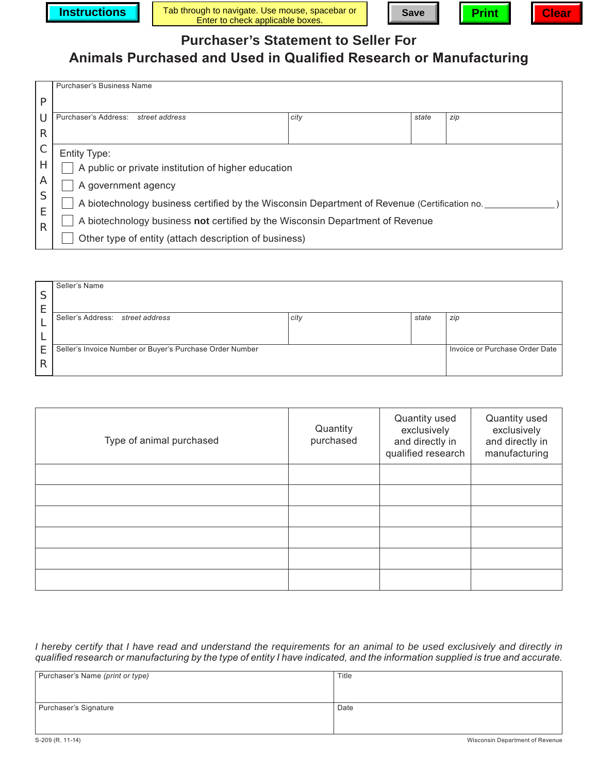





**Purchaser's Statement to Seller For**

## **Animals Purchased and Used in Qualified Research or Manufacturing**

|        | <b>Purchaser's Business Name</b>                                                             |      |       |     |  |  |
|--------|----------------------------------------------------------------------------------------------|------|-------|-----|--|--|
| P      |                                                                                              |      |       |     |  |  |
| U      | Purchaser's Address: street address                                                          | city | state | zip |  |  |
| R      |                                                                                              |      |       |     |  |  |
| C      | Entity Type:                                                                                 |      |       |     |  |  |
| Н      | A public or private institution of higher education                                          |      |       |     |  |  |
| Α      | A government agency                                                                          |      |       |     |  |  |
| S<br>E | A biotechnology business certified by the Wisconsin Department of Revenue (Certification no. |      |       |     |  |  |
| R      | A biotechnology business not certified by the Wisconsin Department of Revenue                |      |       |     |  |  |
|        | Other type of entity (attach description of business)                                        |      |       |     |  |  |

| c  | Seller's Name                                            |      |       |                                |
|----|----------------------------------------------------------|------|-------|--------------------------------|
| J  |                                                          |      |       |                                |
|    | Seller's Address: street address                         | city | state | zip                            |
|    |                                                          |      |       |                                |
|    |                                                          |      |       | Invoice or Purchase Order Date |
| E. | Seller's Invoice Number or Buyer's Purchase Order Number |      |       |                                |
| R  |                                                          |      |       |                                |

| Type of animal purchased | Quantity<br>purchased | Quantity used<br>exclusively<br>and directly in<br>qualified research | Quantity used<br>exclusively<br>and directly in<br>manufacturing |
|--------------------------|-----------------------|-----------------------------------------------------------------------|------------------------------------------------------------------|
|                          |                       |                                                                       |                                                                  |
|                          |                       |                                                                       |                                                                  |
|                          |                       |                                                                       |                                                                  |
|                          |                       |                                                                       |                                                                  |
|                          |                       |                                                                       |                                                                  |
|                          |                       |                                                                       |                                                                  |

*I hereby certify that I have read and understand the requirements for an animal to be used exclusively and directly in qualified research or manufacturing by the type of entity I have indicated, and the information supplied is true and accurate.*

| Purchaser's Name (print or type) | Title |  |  |
|----------------------------------|-------|--|--|
|                                  |       |  |  |
|                                  |       |  |  |
| Purchaser's Signature            | Date  |  |  |
|                                  |       |  |  |
|                                  |       |  |  |